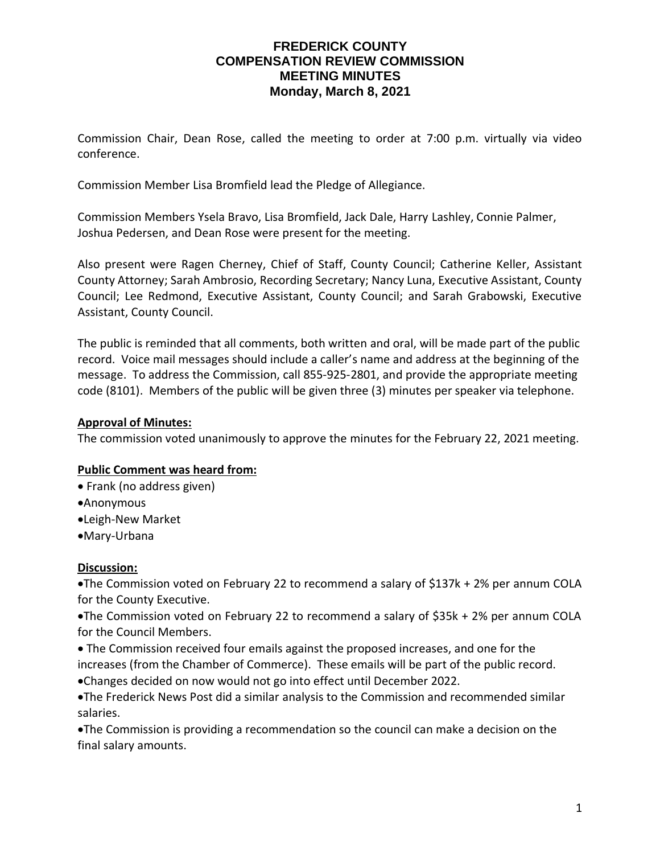### **FREDERICK COUNTY COMPENSATION REVIEW COMMISSION MEETING MINUTES Monday, March 8, 2021**

Commission Chair, Dean Rose, called the meeting to order at 7:00 p.m. virtually via video conference.

Commission Member Lisa Bromfield lead the Pledge of Allegiance.

Commission Members Ysela Bravo, Lisa Bromfield, Jack Dale, Harry Lashley, Connie Palmer, Joshua Pedersen, and Dean Rose were present for the meeting.

Also present were Ragen Cherney, Chief of Staff, County Council; Catherine Keller, Assistant County Attorney; Sarah Ambrosio, Recording Secretary; Nancy Luna, Executive Assistant, County Council; Lee Redmond, Executive Assistant, County Council; and Sarah Grabowski, Executive Assistant, County Council.

The public is reminded that all comments, both written and oral, will be made part of the public record. Voice mail messages should include a caller's name and address at the beginning of the message. To address the Commission, call 855-925-2801, and provide the appropriate meeting code (8101). Members of the public will be given three (3) minutes per speaker via telephone.

#### **Approval of Minutes:**

The commission voted unanimously to approve the minutes for the February 22, 2021 meeting.

### **Public Comment was heard from:**

- Frank (no address given)
- •Anonymous
- •Leigh-New Market
- •Mary-Urbana

### **Discussion:**

•The Commission voted on February 22 to recommend a salary of \$137k + 2% per annum COLA for the County Executive.

•The Commission voted on February 22 to recommend a salary of \$35k + 2% per annum COLA for the Council Members.

• The Commission received four emails against the proposed increases, and one for the increases (from the Chamber of Commerce). These emails will be part of the public record. •Changes decided on now would not go into effect until December 2022.

•The Frederick News Post did a similar analysis to the Commission and recommended similar salaries.

•The Commission is providing a recommendation so the council can make a decision on the final salary amounts.